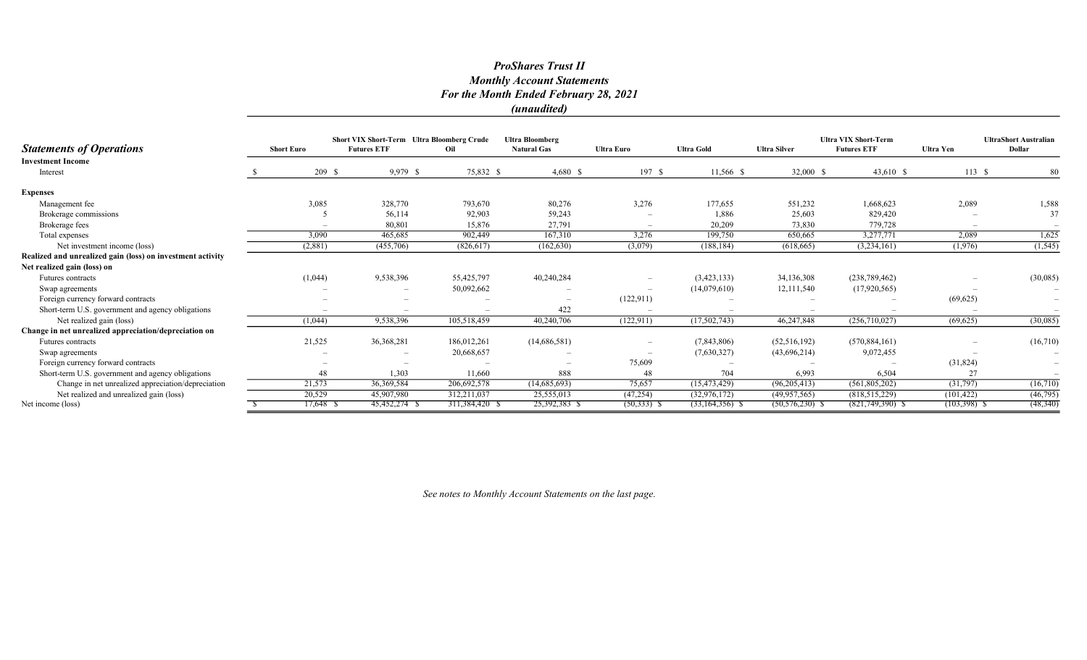#### ProShares Trust II Monthly Account Statements For the Month Ended February 28, 2021 (unaudited)

|                                                            |                   |             | <b>Short VIX Short-Term Ultra Bloomberg Crude</b> |                | <b>Ultra Bloomberg</b>   |                   |                     |                     | <b>Ultra VIX Short-Term</b> | <b>UltraShort Australian</b> |                          |  |
|------------------------------------------------------------|-------------------|-------------|---------------------------------------------------|----------------|--------------------------|-------------------|---------------------|---------------------|-----------------------------|------------------------------|--------------------------|--|
| <b>Statements of Operations</b>                            | <b>Short Euro</b> |             | <b>Futures ETF</b>                                | Oil            | <b>Natural Gas</b>       | <b>Ultra Euro</b> | <b>Ultra Gold</b>   | <b>Ultra Silver</b> | <b>Futures ETF</b>          | <b>Ultra Yen</b>             | Dollar                   |  |
| <b>Investment Income</b>                                   |                   |             |                                                   |                |                          |                   |                     |                     |                             |                              |                          |  |
| Interest                                                   |                   | 209S        | 9,979 \$                                          | 75,832 \$      | $4,680$ \$               | 197S              | 11,566 \$           | 32,000 \$           | 43,610 \$                   | 113S                         | 80                       |  |
| <b>Expenses</b>                                            |                   |             |                                                   |                |                          |                   |                     |                     |                             |                              |                          |  |
| Management fee                                             |                   | 3,085       | 328,770                                           | 793,670        | 80,276                   | 3,276             | 177,655             | 551,232             | 1,668,623                   | 2,089                        | 1,588                    |  |
| Brokerage commissions                                      |                   |             | 56,114                                            | 92,903         | 59,243                   |                   | 1,886               | 25,603              | 829,420                     |                              | 37                       |  |
| Brokerage fees                                             |                   |             | 80,801                                            | 15,876         | 27,791                   |                   | 20,209              | 73,830              | 779,728                     |                              |                          |  |
| Total expenses                                             |                   | 3,090       | 465,685                                           | 902,449        | 167,310                  | 3,276             | 199,750             | 650,665             | 3,277,771                   | 2,089                        | 1,625                    |  |
| Net investment income (loss)                               |                   | (2,881)     | (455,706)                                         | (826, 617)     | (162, 630)               | (3,079)           | (188, 184)          | (618, 665)          | (3,234,161)                 | (1,976)                      | (1, 545)                 |  |
| Realized and unrealized gain (loss) on investment activity |                   |             |                                                   |                |                          |                   |                     |                     |                             |                              |                          |  |
| Net realized gain (loss) on                                |                   |             |                                                   |                |                          |                   |                     |                     |                             |                              |                          |  |
| <b>Futures</b> contracts                                   |                   | (1,044)     | 9,538,396                                         | 55,425,797     | 40,240,284               |                   | (3,423,133)         | 34,136,308          | (238, 789, 462)             |                              | (30,085)                 |  |
| Swap agreements                                            |                   |             |                                                   | 50,092,662     |                          |                   | (14,079,610)        | 12,111,540          | (17,920,565)                |                              |                          |  |
| Foreign currency forward contracts                         |                   |             |                                                   |                |                          | (122, 911)        |                     |                     |                             | (69, 625)                    |                          |  |
| Short-term U.S. government and agency obligations          |                   |             |                                                   |                | 422                      |                   |                     |                     |                             |                              |                          |  |
| Net realized gain (loss)                                   |                   | (1,044)     | 9,538,396                                         | 105,518,459    | 40,240,706               | (122, 911)        | (17,502,743)        | 46,247,848          | (256,710,027)               | (69, 625)                    | (30,085)                 |  |
| Change in net unrealized appreciation/depreciation on      |                   |             |                                                   |                |                          |                   |                     |                     |                             |                              |                          |  |
| Futures contracts                                          |                   | 21,525      | 36, 368, 281                                      | 186,012,261    | (14,686,581)             |                   | (7,843,806)         | (52, 516, 192)      | (570, 884, 161)             |                              | (16,710)                 |  |
| Swap agreements                                            |                   |             |                                                   | 20,668,657     |                          |                   | (7,630,327)         | (43,696,214)        | 9,072,455                   |                              |                          |  |
| Foreign currency forward contracts                         |                   |             |                                                   |                | $\overline{\phantom{a}}$ | 75,609            |                     |                     |                             | (31,824)                     | $\overline{\phantom{m}}$ |  |
| Short-term U.S. government and agency obligations          |                   | 48          | 1,303                                             | 11,660         | 888                      | 48                | 704                 | 6,993               | 6,504                       | 27                           |                          |  |
| Change in net unrealized appreciation/depreciation         |                   | 21,573      | 36, 369, 584                                      | 206,692,578    | (14,685,693)             | 75,657            | (15, 473, 429)      | (96, 205, 413)      | (561, 805, 202)             | (31,797)                     | (16,710)                 |  |
| Net realized and unrealized gain (loss)                    |                   | 20,529      | 45,907,980                                        | 312,211,037    | 25,555,013               | (47, 254)         | (32,976,172)        | (49, 957, 565)      | (818, 515, 229)             | (101, 422)                   | (46,795)                 |  |
| Net income (loss)                                          |                   | $17,648$ \$ | 45,452,274 \$                                     | 311,384,420 \$ | 25,392,383 \$            | $(50, 333)$ \$    | $(33, 164, 356)$ \$ | $(50, 576, 230)$ \$ | $(821,749,390)$ \$          | (103,398) \$                 | (48, 340)                |  |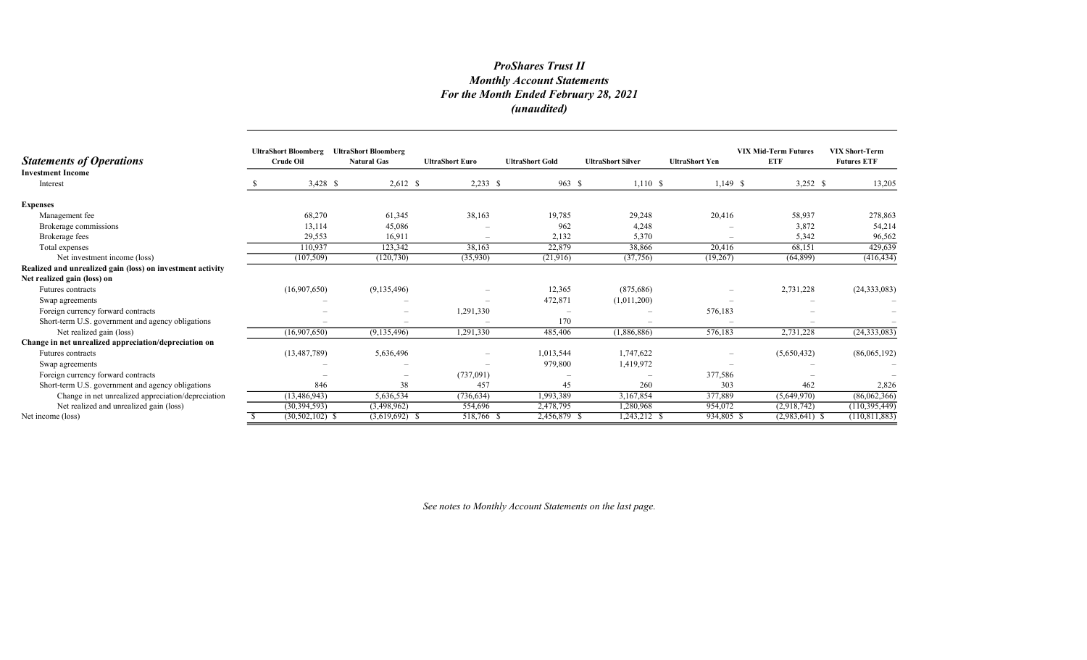# ProShares Trust II Monthly Account Statements For the Month Ended February 28, 2021 (unaudited)

| <b>Statements of Operations</b>                            | <b>UltraShort Bloomberg</b><br><b>Crude Oil</b> | <b>UltraShort Bloomberg</b><br><b>Natural Gas</b> | <b>UltraShort Euro</b>   | <b>UltraShort Gold</b> | <b>UltraShort Silver</b> | <b>UltraShort Yen</b>    | <b>VIX Mid-Term Futures</b><br><b>ETF</b> | <b>VIX Short-Term</b><br><b>Futures ETF</b> |
|------------------------------------------------------------|-------------------------------------------------|---------------------------------------------------|--------------------------|------------------------|--------------------------|--------------------------|-------------------------------------------|---------------------------------------------|
| <b>Investment Income</b><br>Interest                       | $3,428$ \$                                      | $2,612$ \$                                        | $2,233$ \$               | 963 \$                 | 1,110S                   | $1,149$ \$               | $3,252$ \$                                | 13,205                                      |
| <b>Expenses</b>                                            |                                                 |                                                   |                          |                        |                          |                          |                                           |                                             |
| Management fee                                             | 68,270                                          | 61,345                                            | 38,163                   | 19,785                 | 29,248                   | 20,416                   | 58,937                                    | 278,863                                     |
| Brokerage commissions                                      | 13,114                                          | 45,086                                            |                          | 962                    | 4,248                    |                          | 3,872                                     | 54,214                                      |
| Brokerage fees                                             | 29,553                                          | 16,911                                            | $\overline{\phantom{a}}$ | 2,132                  | 5,370                    | $\overline{\phantom{a}}$ | 5,342                                     | 96,562                                      |
| Total expenses                                             | 110.937                                         | 123,342                                           | 38,163                   | 22,879                 | 38,866                   | 20,416                   | 68,151                                    | 429,639                                     |
| Net investment income (loss)                               | (107, 509)                                      | (120, 730)                                        | (35,930)                 | (21,916)               | (37,756)                 | (19,267)                 | (64, 899)                                 | (416, 434)                                  |
| Realized and unrealized gain (loss) on investment activity |                                                 |                                                   |                          |                        |                          |                          |                                           |                                             |
| Net realized gain (loss) on                                |                                                 |                                                   |                          |                        |                          |                          |                                           |                                             |
| Futures contracts                                          | (16,907,650)                                    | (9,135,496)                                       |                          | 12,365                 | (875,686)                | $\overline{\phantom{a}}$ | 2,731,228                                 | (24, 333, 083)                              |
| Swap agreements                                            |                                                 |                                                   |                          | 472,871                | (1,011,200)              |                          |                                           |                                             |
| Foreign currency forward contracts                         |                                                 |                                                   | 1,291,330                |                        |                          | 576,183                  |                                           |                                             |
| Short-term U.S. government and agency obligations          |                                                 |                                                   |                          | 170                    |                          |                          |                                           |                                             |
| Net realized gain (loss)                                   | (16,907,650)                                    | (9,135,496)                                       | 1,291,330                | 485,406                | (1,886,886)              | 576,183                  | 2,731,228                                 | (24, 333, 083)                              |
| Change in net unrealized appreciation/depreciation on      |                                                 |                                                   |                          |                        |                          |                          |                                           |                                             |
| <b>Futures</b> contracts                                   | (13, 487, 789)                                  | 5,636,496                                         |                          | 1,013,544              | 1,747,622                | $\overline{\phantom{a}}$ | (5,650,432)                               | (86,065,192)                                |
| Swap agreements                                            |                                                 |                                                   |                          | 979,800                | 1,419,972                |                          |                                           |                                             |
| Foreign currency forward contracts                         |                                                 | $\overline{\phantom{a}}$                          | (737,091)                |                        |                          | 377,586                  |                                           |                                             |
| Short-term U.S. government and agency obligations          | 846                                             | 38                                                | 457                      | 45                     | 260                      | 303                      | 462                                       | 2,826                                       |
| Change in net unrealized appreciation/depreciation         | (13, 486, 943)                                  | 5,636,534                                         | (736, 634)               | 1,993,389              | 3,167,854                | 377,889                  | (5,649,970)                               | (86,062,366)                                |
| Net realized and unrealized gain (loss)                    | (30, 394, 593)                                  | (3,498,962)                                       | 554,696                  | 2,478,795              | 1,280,968                | 954,072                  | (2,918,742)                               | (110, 395, 449)                             |
| Net income (loss)                                          | $(30, 502, 102)$ \$                             | $(3,619,692)$ \$                                  | 518,766 \$               | 2,456,879 \$           | 1,243,212 \$             | 934,805 \$               | $(2,983,641)$ \$                          | (110, 811, 883)                             |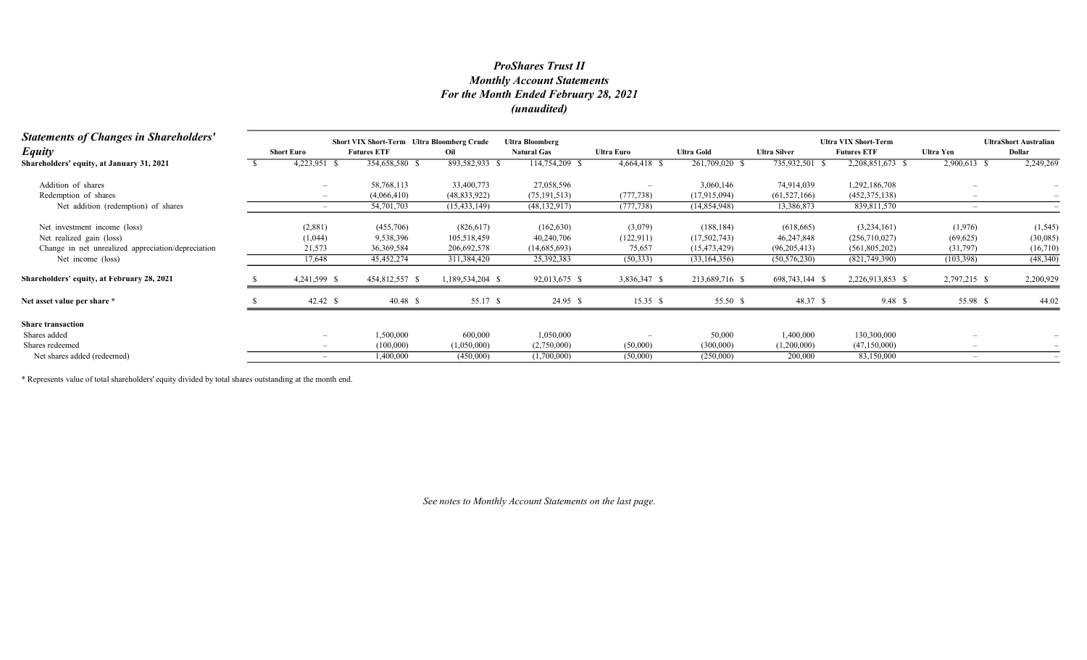## Monthly Account Statements For the Month Ended February 28, 2021 (unaudited) ProShares Trust II

| <b>Statements of Changes in Shareholders'</b>      |                          | <b>Short VIX Short-Term</b> Ultra Bloomberg Crude |                  | <b>Ultra Bloomberg</b> |              |                   |                     | <b>Ultra VIX Short-Term</b> |              | <b>UltraShort Australian</b> |
|----------------------------------------------------|--------------------------|---------------------------------------------------|------------------|------------------------|--------------|-------------------|---------------------|-----------------------------|--------------|------------------------------|
| <b>Equity</b>                                      | <b>Short Euro</b>        | <b>Futures ETF</b>                                | Oil              | <b>Natural Gas</b>     | Ultra Euro   | <b>Ultra Gold</b> | <b>Ultra Silver</b> | <b>Futures ETF</b>          | Ultra Yen    | Dollar                       |
| Shareholders' equity, at January 31, 2021          | 4,223,951                | 354,658,580 \$                                    | 893,582,933 \$   | 114,754,209 \$         | 4,664,418 \$ | 261,709,020 \$    | 735,932,501         | 2,208,851,673 \$            | 2,900,613 \$ | 2,249,269                    |
| Addition of shares                                 |                          | 58,768,113                                        | 33,400,773       | 27,058,596             |              | 3,060,146         | 74,914,039          | 1,292,186,708               |              |                              |
| Redemption of shares                               |                          | (4,066,410)                                       | (48, 833, 922)   | (75, 191, 513)         | (777, 738)   | (17,915,094)      | (61, 527, 166)      | (452, 375, 138)             |              |                              |
| Net addition (redemption) of shares                | $\overline{\phantom{0}}$ | 54,701,703                                        | (15, 433, 149)   | (48, 132, 917)         | (777, 738)   | (14,854,948)      | 13,386,873          | 839,811,570                 |              |                              |
| Net investment income (loss)                       | (2,881)                  | (455,706)                                         | (826,617)        | (162, 630)             | (3,079)      | (188, 184)        | (618, 665)          | (3,234,161)                 | (1,976)      | (1, 545)                     |
| Net realized gain (loss)                           | (1,044)                  | 9,538,396                                         | 105,518,459      | 40,240,706             | (122, 911)   | (17,502,743)      | 46,247,848          | (256,710,027)               | (69, 625)    | (30,085)                     |
| Change in net unrealized appreciation/depreciation | 21,573                   | 36,369,584                                        | 206,692,578      | (14,685,693)           | 75,657       | (15, 473, 429)    | (96, 205, 413)      | (561, 805, 202)             | (31,797)     | (16,710)                     |
| Net income (loss)                                  | 17,648                   | 45,452,274                                        | 311,384,420      | 25,392,383             | (50, 333)    | (33, 164, 356)    | (50, 576, 230)      | (821,749,390)               | (103, 398)   | (48,340)                     |
| Shareholders' equity, at February 28, 2021         | 4,241,599 \$             | 454,812,557 \$                                    | 1,189,534,204 \$ | 92,013,675 \$          | 3,836,347 \$ | 213,689,716 \$    | 698,743,144 \$      | 2,226,913,853 \$            | 2,797,215 \$ | 2,200,929                    |
| Net asset value per share *                        | 42.42 S                  |                                                   | 55.17 \$         | 24.95 \$               | 15.35 S      | 55.50 \$          | 48.37 \$            | 9.48 S                      | 55.98 \$     | 44.02                        |
| <b>Share transaction</b>                           |                          |                                                   |                  |                        |              |                   |                     |                             |              |                              |
| Shares added                                       |                          | 1,500,000                                         | 600,000          | 1,050,000              |              | 50,000            | 1,400,000           | 130,300,000                 |              |                              |
| Shares redeemed                                    |                          | (100,000)                                         | (1,050,000)      | (2,750,000)            | (50,000)     | (300,000)         | (1,200,000)         | (47, 150, 000)              |              |                              |
| Net shares added (redeemed)                        |                          | 1,400,000                                         | (450,000)        | (1,700,000)            | (50,000)     | (250,000)         | 200,000             | 83,150,000                  |              |                              |

\* Represents value of total shareholders' equity divided by total shares outstanding at the month end.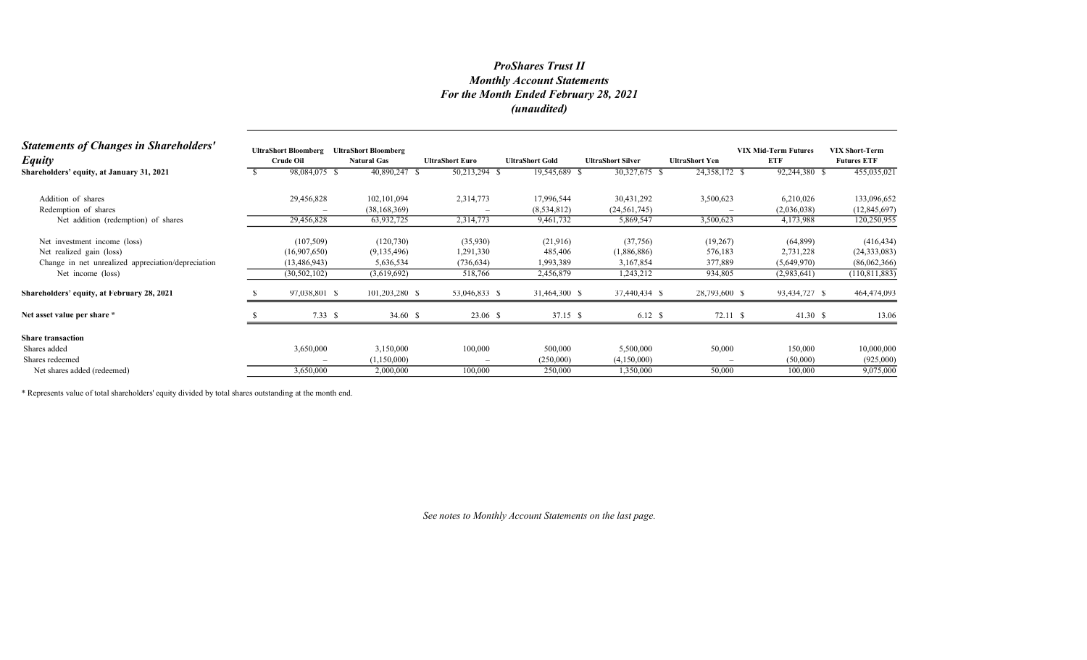## Monthly Account Statements For the Month Ended February 28, 2021 (unaudited) ProShares Trust II

| <b>Statements of Changes in Shareholders'</b><br><b>Equity</b> | <b>UltraShort Bloomberg</b><br><b>Crude Oil</b> | <b>UltraShort Bloomberg</b><br><b>Natural Gas</b> | <b>UltraShort Euro</b> |               | <b>UltraShort Gold</b> | <b>UltraShort Silver</b> | <b>UltraShort Yen</b> |               | <b>VIX Mid-Term Futures</b><br>ETF | <b>VIX Short-Term</b><br><b>Futures ETF</b> |
|----------------------------------------------------------------|-------------------------------------------------|---------------------------------------------------|------------------------|---------------|------------------------|--------------------------|-----------------------|---------------|------------------------------------|---------------------------------------------|
| Shareholders' equity, at January 31, 2021                      | 98,084,075 \$                                   | 40,890,247 \$                                     |                        | 50,213,294 \$ | 19,545,689 \$          | 30,327,675 \$            |                       | 24,358,172 \$ | 92,244,380 \$                      | 455,035,021                                 |
| Addition of shares                                             | 29,456,828                                      | 102,101,094                                       |                        | 2,314,773     | 17,996,544             | 30,431,292               |                       | 3,500,623     | 6,210,026                          | 133,096,652                                 |
| Redemption of shares                                           |                                                 | (38, 168, 369)                                    |                        |               | (8,534,812)            | (24, 561, 745)           |                       |               | (2,036,038)                        | (12, 845, 697)                              |
| Net addition (redemption) of shares                            | 29,456,828                                      | 63,932,725                                        |                        | 2,314,773     | 9,461,732              | 5,869,547                |                       | 3,500,623     | 4,173,988                          | 120,250,955                                 |
| Net investment income (loss)                                   | (107, 509)                                      | (120, 730)                                        |                        | (35,930)      | (21,916)               | (37,756)                 |                       | (19,267)      | (64, 899)                          | (416, 434)                                  |
| Net realized gain (loss)                                       | (16,907,650)                                    | (9,135,496)                                       |                        | 1,291,330     | 485,406                | (1,886,886)              |                       | 576,183       | 2,731,228                          | (24, 333, 083)                              |
| Change in net unrealized appreciation/depreciation             | (13, 486, 943)                                  | 5,636,534                                         |                        | (736, 634)    | 1,993,389              | 3,167,854                |                       | 377,889       | (5,649,970)                        | (86,062,366)                                |
| Net income (loss)                                              | (30, 502, 102)                                  | (3,619,692)                                       |                        | 518,766       | 2,456,879              | 1,243,212                |                       | 934,805       | (2,983,641)                        | (110, 811, 883)                             |
| Shareholders' equity, at February 28, 2021                     | 97,038,801 \$                                   | 101,203,280 \$                                    |                        | 53,046,833 \$ | 31,464,300 \$          | 37,440,434 \$            |                       | 28,793,600 \$ | 93,434,727 \$                      | 464,474,093                                 |
| Net asset value per share *                                    | 7.33S                                           | 34.60 \$                                          |                        | 23.06 \$      | 37.15 \$               | 6.12 \$                  |                       | 72.11 \$      | 41.30 S                            | 13.06                                       |
| <b>Share transaction</b>                                       |                                                 |                                                   |                        |               |                        |                          |                       |               |                                    |                                             |
| Shares added                                                   | 3,650,000                                       | 3,150,000                                         |                        | 100,000       | 500,000                | 5,500,000                |                       | 50,000        | 150,000                            | 10,000,000                                  |
| Shares redeemed                                                |                                                 | (1,150,000)                                       |                        | $\sim$        | (250,000)              | (4,150,000)              |                       |               | (50,000)                           | (925,000)                                   |
| Net shares added (redeemed)                                    | 3,650,000                                       | 2,000,000                                         |                        | 100,000       | 250,000                | 1,350,000                |                       | 50,000        | 100,000                            | 9,075,000                                   |

\* Represents value of total shareholders' equity divided by total shares outstanding at the month end.